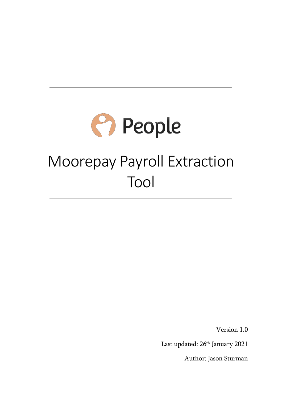# **People** Moorepay Payroll Extraction Tool

Version 1.0

Last updated: 26<sup>th</sup> January 2021

Author: Jason Sturman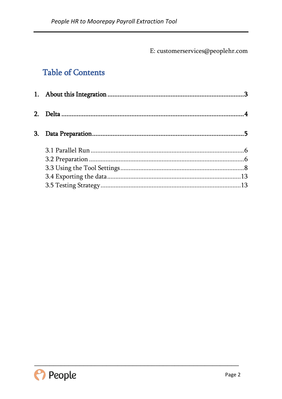E: customerservices@peoplehr.com

## **Table of Contents**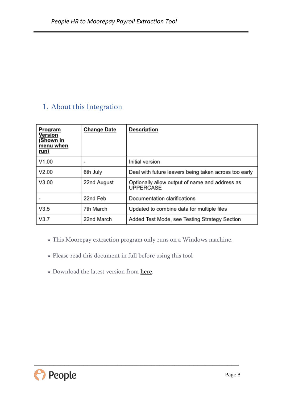## <span id="page-2-0"></span>1. About this Integration

| Program<br>Version<br>(Shown in<br>menu when<br>run) | <b>Change Date</b>           | <b>Description</b>                                                 |
|------------------------------------------------------|------------------------------|--------------------------------------------------------------------|
| V1.00                                                | $\qquad \qquad \blacksquare$ | Initial version                                                    |
| V2.00                                                | 6th July                     | Deal with future leavers being taken across too early              |
| V3.00                                                | 22nd August                  | Optionally allow output of name and address as<br><b>UPPERCASE</b> |
|                                                      | 22nd Feb                     | Documentation clarifications                                       |
| V3.5                                                 | 7th March                    | Updated to combine data for multiple files                         |
| V3.7                                                 | 22nd March                   | Added Test Mode, see Testing Strategy Section                      |

This Moorepay extraction program only runs on a Windows machine.

- Please read this document in full before using this tool
- Download the latest version from [here.](https://www.google.com/url?q=https://peoplehr.sharefile.com/d-sd569afade394825a&sa=D&ust=1504173158434000&usg=AFQjCNFQSxdfAVNYAtXJ8PxiQ6EClVf6uQ)

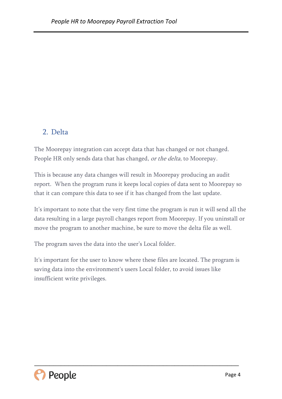## <span id="page-3-0"></span>2. Delta

The Moorepay integration can accept data that has changed or not changed. People HR only sends data that has changed, or the delta, to Moorepay.

This is because any data changes will result in Moorepay producing an audit report. When the program runs it keeps local copies of data sent to Moorepay so that it can compare this data to see if it has changed from the last update.

It's important to note that the very first time the program is run it will send all the data resulting in a large payroll changes report from Moorepay. If you uninstall or move the program to another machine, be sure to move the delta file as well.

The program saves the data into the user's Local folder.

It's important for the user to know where these files are located. The program is saving data into the environment's users Local folder, to avoid issues like insufficient write privileges.

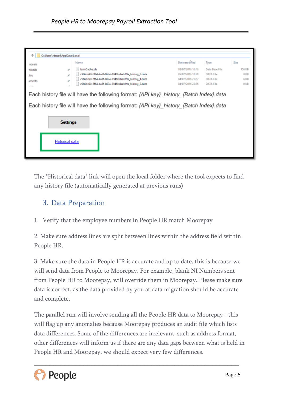| C:\Users\rduse\AppData\Local |                                                                                                                                                                                  |                  |                                      |                 |  |  |
|------------------------------|----------------------------------------------------------------------------------------------------------------------------------------------------------------------------------|------------------|--------------------------------------|-----------------|--|--|
| access                       | Name                                                                                                                                                                             | Date modified    | Type                                 | Size            |  |  |
| nloads<br>÷                  | conCache.db                                                                                                                                                                      | 08/07/2016 16:16 | Data Base File                       | 156 KB          |  |  |
| top.                         | c966de90-5f64-4a5f-8674-3946bcbab19a_history_2.data                                                                                                                              | 05/07/2016 18:58 | <b>DATA File</b><br><b>DATA File</b> | 0 <sub>KB</sub> |  |  |
| ÷<br>aments                  | c966de90-5f64-4a5f-8674-3946bcbab19a_history_1.data                                                                                                                              | 04/07/2016 23:27 |                                      | 6 KB            |  |  |
| $-0.00000$                   | c966de90-5f64-4a5f-8674-3946bcbab19a_history_3.data                                                                                                                              | 04/07/2016 23:26 | <b>DATA File</b>                     | 0 <sub>KB</sub> |  |  |
| <b>Settings</b>              | Each history file will have the following format: {API key} history {Batch Index}.data<br>Each history file will have the following format: {API key} history {Batch Index}.data |                  |                                      |                 |  |  |
| Historical data              |                                                                                                                                                                                  |                  |                                      |                 |  |  |
|                              |                                                                                                                                                                                  |                  |                                      |                 |  |  |

The "Historical data" link will open the local folder where the tool expects to find any history file (automatically generated at previous runs)

### <span id="page-4-0"></span>3. Data Preparation

1. Verify that the employee numbers in People HR match Moorepay

2. Make sure address lines are split between lines within the address field within People HR.

3. Make sure the data in People HR is accurate and up to date, this is because we will send data from People to Moorepay. For example, blank NI Numbers sent from People HR to Moorepay, will override them in Moorepay. Please make sure data is correct, as the data provided by you at data migration should be accurate and complete.

The parallel run will involve sending all the People HR data to Moorepay - this will flag up any anomalies because Moorepay produces an audit file which lists data differences. Some of the differences are irrelevant, such as address format, other differences will inform us if there are any data gaps between what is held in People HR and Moorepay, we should expect very few differences.

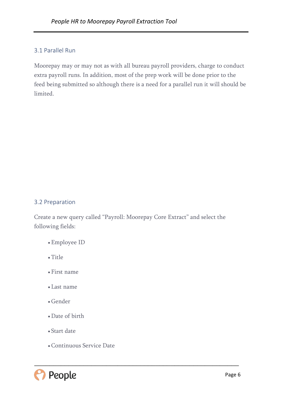#### <span id="page-5-0"></span>3.1 Parallel Run

Moorepay may or may not as with all bureau payroll providers, charge to conduct extra payroll runs. In addition, most of the prep work will be done prior to the feed being submitted so although there is a need for a parallel run it will should be limited.

#### <span id="page-5-1"></span>3.2 Preparation

Create a new query called "Payroll: Moorepay Core Extract" and select the following fields:

- Employee ID
- Title
- First name
- Last name
- Gender
- Date of birth
- Start date
- Continuous Service Date

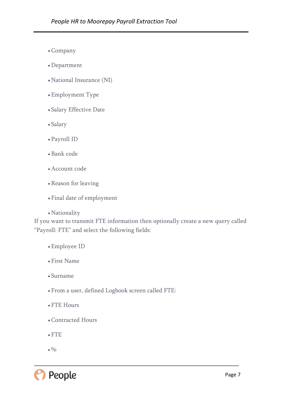- Company
- Department
- National Insurance (NI)
- Employment Type
- Salary Effective Date
- Salary
- Payroll ID
- Bank code
- Account code
- Reason for leaving
- Final date of employment
- Nationality

If you want to transmit FTE information then optionally create a new query called "Payroll: FTE" and select the following fields:

- Employee ID
- First Name
- Surname
- From a user, defined Logbook screen called FTE:
- FTE Hours
- Contracted Hours
- FTE
- $_{\bullet}$   $\%$

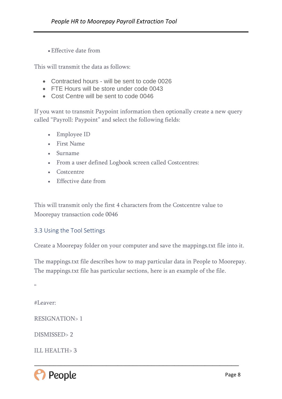Effective date from

This will transmit the data as follows:

- Contracted hours will be sent to code 0026
- FTE Hours will be store under code 0043
- Cost Centre will be sent to code 0046

If you want to transmit Paypoint information then optionally create a new query called "Payroll: Paypoint" and select the following fields:

- Employee ID
- First Name
- Surname
- From a user defined Logbook screen called Costcentres:
- Costcentre
- Effective date from

This will transmit only the first 4 characters from the Costcentre value to Moorepay transaction code 0046

#### <span id="page-7-0"></span>3.3 Using the Tool Settings

Create a Moorepay folder on your computer and save the mappings.txt file into it.

The mappings.txt file describes how to map particular data in People to Moorepay. The mappings.txt file has particular sections, here is an example of the file.

\_\_\_\_\_\_\_\_\_\_\_\_\_\_\_\_\_\_\_\_\_\_\_\_\_\_\_\_\_\_\_\_\_\_\_\_\_\_\_\_\_\_\_\_\_\_\_\_\_\_\_\_\_\_

 $\epsilon$ 

#Leaver:

RESIGNATION> 1

DISMISSED> 2

ILL HEALTH> 3

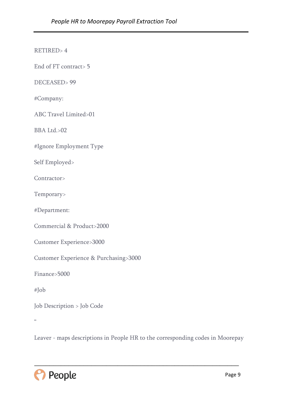RETIRED> 4

End of FT contract> 5

DECEASED> 99

#Company:

ABC Travel Limited>01

BBA Ltd.>02

#Ignore Employment Type

Self Employed>

Contractor>

Temporary>

#Department:

Commercial & Product>2000

Customer Experience>3000

Customer Experience & Purchasing>3000

Finance>5000

#Job

Job Description > Job Code

 $\mathfrak{c}\mathfrak{c}$ 

Leaver - maps descriptions in People HR to the corresponding codes in Moorepay

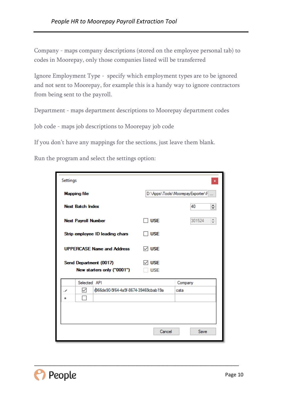Company - maps company descriptions (stored on the employee personal tab) to codes in Moorepay, only those companies listed will be transferred

Ignore Employment Type - specify which employment types are to be ignored and not sent to Moorepay, for example this is a handy way to ignore contractors from being sent to the payroll.

Department - maps department descriptions to Moorepay department codes

Job code - maps job descriptions to Moorepay job code

If you don't have any mappings for the sections, just leave them blank.

Run the program and select the settings option:

| Settings                          |                            |                                                      |                                  | x                       |  |  |
|-----------------------------------|----------------------------|------------------------------------------------------|----------------------------------|-------------------------|--|--|
|                                   | <b>Mapping file</b>        |                                                      | D:\Apps\Tools\MoorepayExporter\F |                         |  |  |
|                                   | <b>Next Batch Index</b>    |                                                      |                                  | $\div$<br>40            |  |  |
|                                   | <b>Next Payroll Number</b> |                                                      | 1 USE                            | 301524<br>$\frac{+}{+}$ |  |  |
|                                   |                            | Strip employee ID leading chars                      | 1 USE                            |                         |  |  |
| <b>UPPERCASE Name and Address</b> |                            |                                                      | $\triangledown$ USE              |                         |  |  |
|                                   |                            | Send Department (0017)<br>New starters only ("0001") | <b>USE</b><br><b>USE</b>         |                         |  |  |
|                                   | Selected API               |                                                      |                                  | Company                 |  |  |
| #                                 | ✓                          | r966de90-5f64-4a5f-8674-39469cbab19a                 |                                  | cata                    |  |  |
|                                   |                            |                                                      |                                  |                         |  |  |
|                                   |                            |                                                      | Cancel                           | Save                    |  |  |

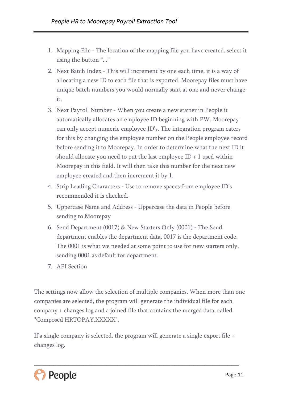- 1. Mapping File The location of the mapping file you have created, select it using the button "..."
- 2. Next Batch Index This will increment by one each time, it is a way of allocating a new ID to each file that is exported. Moorepay files must have unique batch numbers you would normally start at one and never change it.
- 3. Next Payroll Number When you create a new starter in People it automatically allocates an employee ID beginning with PW. Moorepay can only accept numeric employee ID's. The integration program caters for this by changing the employee number on the People employee record before sending it to Moorepay. In order to determine what the next ID it should allocate you need to put the last employee  $ID + 1$  used within Moorepay in this field. It will then take this number for the next new employee created and then increment it by 1.
- 4. Strip Leading Characters Use to remove spaces from employee ID's recommended it is checked.
- 5. Uppercase Name and Address Uppercase the data in People before sending to Moorepay
- 6. Send Department (0017) & New Starters Only (0001) The Send department enables the department data, 0017 is the department code. The 0001 is what we needed at some point to use for new starters only, sending 0001 as default for department.
- 7. API Section

The settings now allow the selection of multiple companies. When more than one companies are selected, the program will generate the individual file for each company + changes log and a joined file that contains the merged data, called "Composed HRTOPAY.XXXXX".

If a single company is selected, the program will generate a single export file + changes log.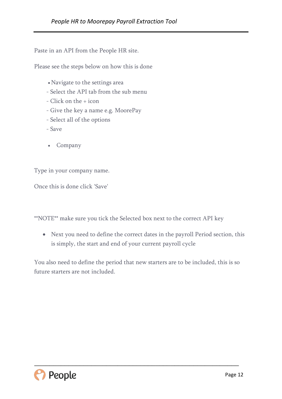Paste in an API from the People HR site.

Please see the steps below on how this is done

- Navigate to the settings area
- Select the API tab from the sub menu
- Click on the + icon
- Give the key a name e.g. MoorePay
- Select all of the options
- Save
- Company

Type in your company name.

Once this is done click 'Save'

\*\*NOTE\*\* make sure you tick the Selected box next to the correct API key

 Next you need to define the correct dates in the payroll Period section, this is simply, the start and end of your current payroll cycle

You also need to define the period that new starters are to be included, this is so future starters are not included.

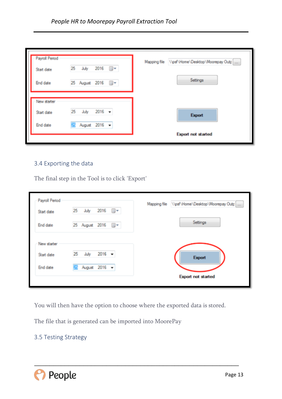| Start date  | 25<br>July     | 2016<br>▥▾ | Mapping file \\psf\Home\Desktop\Moorepay Outp |
|-------------|----------------|------------|-----------------------------------------------|
| End date    | 25 August 2016 | ⋓▼         | Settings                                      |
| New starter |                |            |                                               |
|             |                |            |                                               |
| Start date  | 25<br>July     | $2016 -$   | Export                                        |

#### <span id="page-12-0"></span>3.4 Exporting the data

The final step in the Tool is to click 'Export'

| Payroll Period | 25 | July                        |                      | Mapping file | \\psf\Home\Desktop\Moorepay Outp |
|----------------|----|-----------------------------|----------------------|--------------|----------------------------------|
| Start date     |    |                             | $2016$ $\rightarrow$ |              |                                  |
| End date       |    | 25 August 2016 <sup>W</sup> |                      |              | Settings                         |
| New starter    |    |                             |                      |              |                                  |
| Start date     | 25 | July                        | $2016 -$             |              | Export                           |
| End date       |    |                             | August 2016 -        |              |                                  |
|                |    |                             |                      |              | <b>Export not started</b>        |

You will then have the option to choose where the exported data is stored.

\_\_\_\_\_\_\_\_\_\_\_\_\_\_\_\_\_\_\_\_\_\_\_\_\_\_\_\_\_\_\_\_\_\_\_\_\_\_\_\_\_\_\_\_\_\_\_\_\_\_\_\_\_\_

The file that is generated can be imported into MoorePay

#### <span id="page-12-1"></span>3.5 Testing Strategy